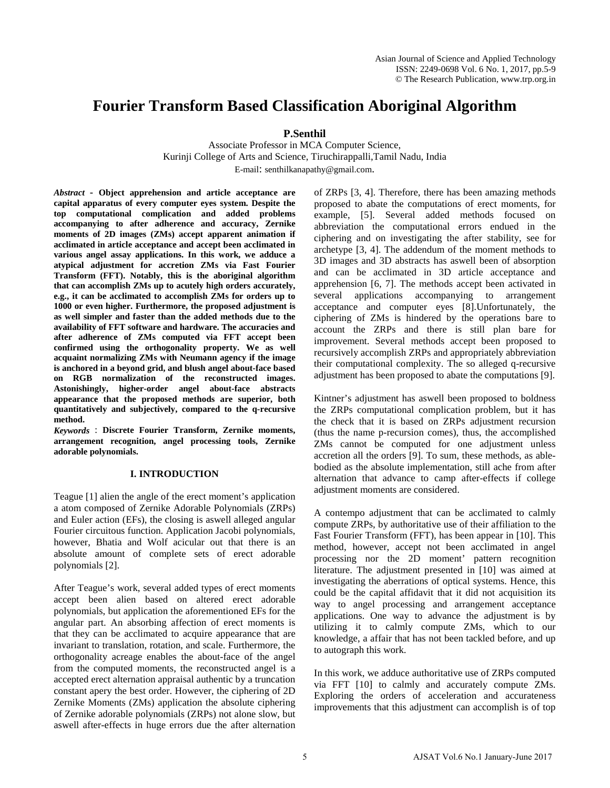# **Fourier Transform Based Classification Aboriginal Algorithm**

**P.Senthil** 

Associate Professor in MCA Computer Science, Kurinji College of Arts and Science, Tiruchirappalli,Tamil Nadu, India E-mail: senthilkanapathy@gmail.com.

*Abstract* **- Object apprehension and article acceptance are capital apparatus of every computer eyes system. Despite the top computational complication and added problems accompanying to after adherence and accuracy, Zernike moments of 2D images (ZMs) accept apparent animation if acclimated in article acceptance and accept been acclimated in various angel assay applications. In this work, we adduce a atypical adjustment for accretion ZMs via Fast Fourier Transform (FFT). Notably, this is the aboriginal algorithm that can accomplish ZMs up to acutely high orders accurately, e.g., it can be acclimated to accomplish ZMs for orders up to 1000 or even higher. Furthermore, the proposed adjustment is as well simpler and faster than the added methods due to the availability of FFT software and hardware. The accuracies and after adherence of ZMs computed via FFT accept been confirmed using the orthogonality property. We as well acquaint normalizing ZMs with Neumann agency if the image is anchored in a beyond grid, and blush angel about-face based on RGB normalization of the reconstructed images. Astonishingly, higher-order angel about-face abstracts appearance that the proposed methods are superior, both quantitatively and subjectively, compared to the q-recursive method.**

*Keywords* : **Discrete Fourier Transform, Zernike moments, arrangement recognition, angel processing tools, Zernike adorable polynomials.** 

# **I. INTRODUCTION**

Teague [1] alien the angle of the erect moment's application a atom composed of Zernike Adorable Polynomials (ZRPs) and Euler action (EFs), the closing is aswell alleged angular Fourier circuitous function. Application Jacobi polynomials, however, Bhatia and Wolf acicular out that there is an absolute amount of complete sets of erect adorable polynomials [2].

After Teague's work, several added types of erect moments accept been alien based on altered erect adorable polynomials, but application the aforementioned EFs for the angular part. An absorbing affection of erect moments is that they can be acclimated to acquire appearance that are invariant to translation, rotation, and scale. Furthermore, the orthogonality acreage enables the about-face of the angel from the computed moments, the reconstructed angel is a accepted erect alternation appraisal authentic by a truncation constant apery the best order. However, the ciphering of 2D Zernike Moments (ZMs) application the absolute ciphering of Zernike adorable polynomials (ZRPs) not alone slow, but aswell after-effects in huge errors due the after alternation

of ZRPs [3, 4]. Therefore, there has been amazing methods proposed to abate the computations of erect moments, for example, [5]. Several added methods focused on abbreviation the computational errors endued in the ciphering and on investigating the after stability, see for archetype [3, 4]. The addendum of the moment methods to 3D images and 3D abstracts has aswell been of absorption and can be acclimated in 3D article acceptance and apprehension [6, 7]. The methods accept been activated in several applications accompanying to arrangement acceptance and computer eyes [8].Unfortunately, the ciphering of ZMs is hindered by the operations bare to account the ZRPs and there is still plan bare for improvement. Several methods accept been proposed to recursively accomplish ZRPs and appropriately abbreviation their computational complexity. The so alleged q-recursive adjustment has been proposed to abate the computations [9].

Kintner's adjustment has aswell been proposed to boldness the ZRPs computational complication problem, but it has the check that it is based on ZRPs adjustment recursion (thus the name p-recursion comes), thus, the accomplished ZMs cannot be computed for one adjustment unless accretion all the orders [9]. To sum, these methods, as ablebodied as the absolute implementation, still ache from after alternation that advance to camp after-effects if college adjustment moments are considered.

A contempo adjustment that can be acclimated to calmly compute ZRPs, by authoritative use of their affiliation to the Fast Fourier Transform (FFT), has been appear in [10]. This method, however, accept not been acclimated in angel processing nor the 2D moment' pattern recognition literature. The adjustment presented in [10] was aimed at investigating the aberrations of optical systems. Hence, this could be the capital affidavit that it did not acquisition its way to angel processing and arrangement acceptance applications. One way to advance the adjustment is by utilizing it to calmly compute ZMs, which to our knowledge, a affair that has not been tackled before, and up to autograph this work.

In this work, we adduce authoritative use of ZRPs computed via FFT [10] to calmly and accurately compute ZMs. Exploring the orders of acceleration and accurateness improvements that this adjustment can accomplish is of top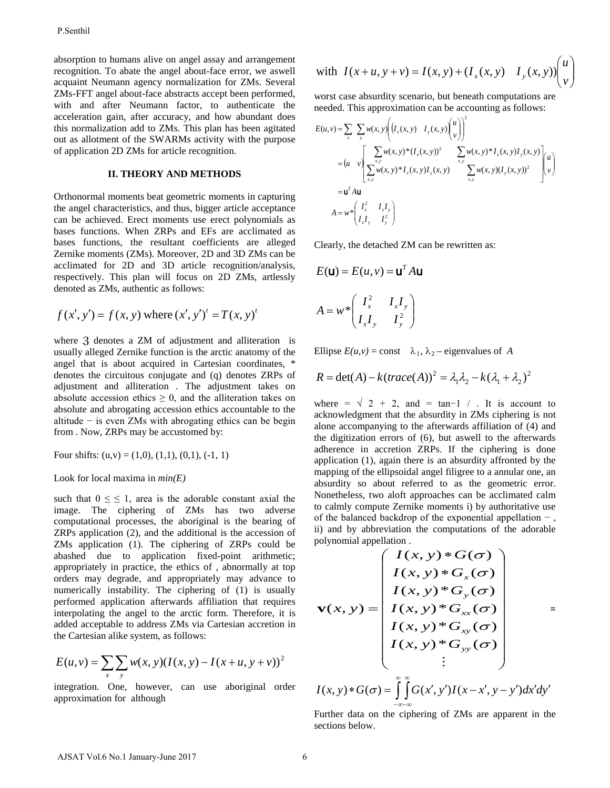absorption to humans alive on angel assay and arrangement recognition. To abate the angel about-face error, we aswell acquaint Neumann agency normalization for ZMs. Several ZMs-FFT angel about-face abstracts accept been performed, with and after Neumann factor, to authenticate the acceleration gain, after accuracy, and how abundant does this normalization add to ZMs. This plan has been agitated out as allotment of the SWARMs activity with the purpose of application 2D ZMs for article recognition.

#### **II. THEORY AND METHODS**

Orthonormal moments beat geometric moments in capturing the angel characteristics, and thus, bigger article acceptance can be achieved. Erect moments use erect polynomials as bases functions. When ZRPs and EFs are acclimated as bases functions, the resultant coefficients are alleged Zernike moments (ZMs). Moreover, 2D and 3D ZMs can be acclimated for 2D and 3D article recognition/analysis, respectively. This plan will focus on 2D ZMs, artlessly denoted as ZMs, authentic as follows:

$$
f(x', y') = f(x, y)
$$
 where  $(x', y')^t = T(x, y)^t$ 

where  $\beta$  denotes a ZM of adjustment and alliteration is usually alleged Zernike function is the arctic anatomy of the angel that is about acquired in Cartesian coordinates, \* denotes the circuitous conjugate and (q) denotes ZRPs of adjustment and alliteration . The adjustment takes on absolute accession ethics  $\geq 0$ , and the alliteration takes on absolute and abrogating accession ethics accountable to the altitude − is even ZMs with abrogating ethics can be begin from . Now, ZRPs may be accustomed by:

Four shifts:  $(u, v) = (1, 0), (1, 1), (0, 1), (-1, 1)$ 

Look for local maxima in *min(E)* 

such that  $0 \leq \leq 1$ , area is the adorable constant axial the image. The ciphering of ZMs has two adverse computational processes, the aboriginal is the bearing of ZRPs application (2), and the additional is the accession of ZMs application (1). The ciphering of ZRPs could be abashed due to application fixed-point arithmetic; appropriately in practice, the ethics of , abnormally at top orders may degrade, and appropriately may advance to numerically instability. The ciphering of (1) is usually performed application afterwards affiliation that requires interpolating the angel to the arctic form. Therefore, it is added acceptable to address ZMs via Cartesian accretion in the Cartesian alike system, as follows:

$$
E(u, v) = \sum_{x} \sum_{y} w(x, y) (I(x, y) - I(x + u, y + v))^2
$$

integration. One, however, can use aboriginal order approximation for although

with 
$$
I(x + u, y + v) = I(x, y) + (I_x(x, y) - I_y(x, y))\begin{pmatrix} u \\ v \end{pmatrix}
$$

worst case absurdity scenario, but beneath computations are needed. This approximation can be accounting as follows:

$$
E(u, v) = \sum_{x} \sum_{y} w(x, y) \left( (I_x(x, y) - I_y(x, y)) \binom{u}{v} \right)^2
$$
  
\n
$$
= (u - v) \left[ \sum_{x, y} \sum_{y} w(x, y)^* (I_x(x, y))^2 - \sum_{x, y} w(x, y)^* I_x(x, y) I_y(x, y) \right] \binom{u}{v}
$$
  
\n
$$
= u^T A u
$$
  
\n
$$
A = w^* \left( \frac{I_x^2}{I_x I_y} - \frac{I_x I_y}{I_y^2} \right)
$$

Clearly, the detached ZM can be rewritten as:

$$
E(\mathbf{u}) = E(u, v) = \mathbf{u}^T A \mathbf{u}
$$

$$
A = w^* \begin{pmatrix} I_x^2 & I_x I_y \\ I_x I_y & I_y^2 \end{pmatrix}
$$

Ellipse  $E(u, v) =$ const  $\lambda_1, \lambda_2$  – eigenvalues of *A* 

$$
R = \det(A) - k (trace(A))^2 = \lambda_1 \lambda_2 - k(\lambda_1 + \lambda_2)^2
$$

where =  $\sqrt{2} + 2$ , and = tan-1 / . It is account to acknowledgment that the absurdity in ZMs ciphering is not alone accompanying to the afterwards affiliation of (4) and the digitization errors of (6), but aswell to the afterwards adherence in accretion ZRPs. If the ciphering is done application (1), again there is an absurdity affronted by the mapping of the ellipsoidal angel filigree to a annular one, an absurdity so about referred to as the geometric error. Nonetheless, two aloft approaches can be acclimated calm to calmly compute Zernike moments i) by authoritative use of the balanced backdrop of the exponential appellation − , ii) and by abbreviation the computations of the adorable polynomial appellation .

$$
\mathbf{v}(x, y) = \begin{pmatrix} I(x, y) * G(\sigma) \\ I(x, y) * G_x(\sigma) \\ I(x, y) * G_y(\sigma) \\ I(x, y) * G_{xx}(\sigma) \\ I(x, y) * G_{xy}(\sigma) \\ I(x, y) * G_{yy}(\sigma) \\ \vdots \end{pmatrix} = I(x, y) * G_{yy}(\sigma)
$$
\n
$$
I(x, y) * G_{yy}(\sigma)
$$
\n
$$
I(x, y) * G_{yy}(\sigma)
$$
\n
$$
I(x, y) * G_{yy}(\sigma)
$$

Further data on the ciphering of ZMs are apparent in the sections below.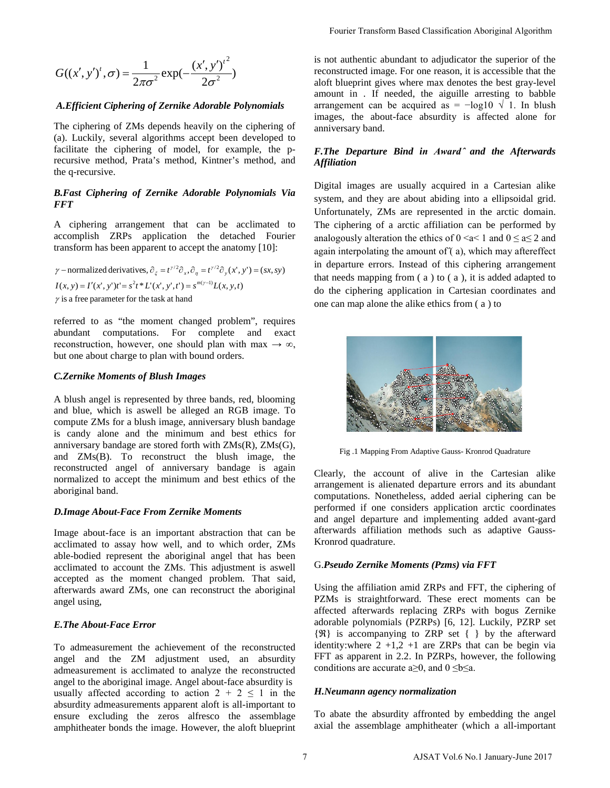$$
G((x', y')^{t}, \sigma) = \frac{1}{2\pi\sigma^{2}} \exp(-\frac{(x', y')^{t^{2}}}{2\sigma^{2}})
$$

### *A.Efficient Ciphering of Zernike Adorable Polynomials*

The ciphering of ZMs depends heavily on the ciphering of (a). Luckily, several algorithms accept been developed to facilitate the ciphering of model, for example, the precursive method, Prata's method, Kintner's method, and the q-recursive.

# *B.Fast Ciphering of Zernike Adorable Polynomials Via FFT*

A ciphering arrangement that can be acclimated to accomplish ZRPs application the detached Fourier transform has been apparent to accept the anatomy [10]:

 $\gamma$  is a free parameter for the task at hand  $I(x, y) = I'(x', y')t' = s^2t * L'(x', y', t') = s^{m(y-1)}L(x, y, t)$  $\gamma$  – normalized derivatives,  $\partial_{\xi} = t^{\gamma/2} \partial_{x}, \partial_{\eta} = t^{\gamma/2} \partial_{y}(x', y') = (sx, sy)$ 

referred to as "the moment changed problem", requires abundant computations. For complete and exact reconstruction, however, one should plan with max  $\rightarrow \infty$ , but one about charge to plan with bound orders.

### *C.Zernike Moments of Blush Images*

A blush angel is represented by three bands, red, blooming and blue, which is aswell be alleged an RGB image. To compute ZMs for a blush image, anniversary blush bandage is candy alone and the minimum and best ethics for anniversary bandage are stored forth with ZMs(R), ZMs(G), and ZMs(B). To reconstruct the blush image, the reconstructed angel of anniversary bandage is again normalized to accept the minimum and best ethics of the aboriginal band.

#### *D.Image About-Face From Zernike Moments*

Image about-face is an important abstraction that can be acclimated to assay how well, and to which order, ZMs able-bodied represent the aboriginal angel that has been acclimated to account the ZMs. This adjustment is aswell accepted as the moment changed problem. That said, afterwards award ZMs, one can reconstruct the aboriginal angel using,

#### *E.The About-Face Error*

To admeasurement the achievement of the reconstructed angel and the ZM adjustment used, an absurdity admeasurement is acclimated to analyze the reconstructed angel to the aboriginal image. Angel about-face absurdity is usually affected according to action  $2 + 2 \le 1$  in the absurdity admeasurements apparent aloft is all-important to ensure excluding the zeros alfresco the assemblage amphitheater bonds the image. However, the aloft blueprint is not authentic abundant to adjudicator the superior of the reconstructed image. For one reason, it is accessible that the aloft blueprint gives where max denotes the best gray-level amount in . If needed, the aiguille arresting to babble arrangement can be acquired as =  $-\log 10 \sqrt{1}$ . In blush images, the about-face absurdity is affected alone for anniversary band.

#### *F.The Departure Bind in Award ̂ and the Afterwards Affiliation*

Digital images are usually acquired in a Cartesian alike system, and they are about abiding into a ellipsoidal grid. Unfortunately, ZMs are represented in the arctic domain. The ciphering of a arctic affiliation can be performed by analogously alteration the ethics of  $0 \le a \le 1$  and  $0 \le a \le 2$  and again interpolating the amount of  $\tilde{ }$  (a), which may aftereffect in departure errors. Instead of this ciphering arrangement that needs mapping from ( a ) to ( a ), it is added adapted to do the ciphering application in Cartesian coordinates and one can map alone the alike ethics from ( a ) to Fourier Transform Based Classification Aboriginal Algorithm<br>
is not cantentic abundant to adjudicator the superior of the accent<br>
and the society content and the accent as a constrained image. For one reason, it is a<br>cons



Fig .1 Mapping From Adaptive Gauss- Kronrod Quadrature

Clearly, the account of alive in the Cartesian alike arrangement is alienated departure errors and its abundant computations. Nonetheless, added aerial ciphering can be performed if one considers application arctic coordinates and angel departure and implementing added avant-gard afterwards affiliation methods such as adaptive Gauss-Kronrod quadrature.

#### G.*Pseudo Zernike Moments (Pzms) via FFT*

Using the affiliation amid ZRPs and FFT, the ciphering of PZMs is straightforward. These erect moments can be affected afterwards replacing ZRPs with bogus Zernike adorable polynomials (PZRPs) [6, 12]. Luckily, PZRP set {ℜ} is accompanying to ZRP set { } by the afterward identity:where  $2 +1,2 +1$  are ZRPs that can be begin via FFT as apparent in 2.2. In PZRPs, however, the following conditions are accurate a≥0, and  $0 \leq b \leq a$ .

#### *H.Neumann agency normalization*

To abate the absurdity affronted by embedding the angel axial the assemblage amphitheater (which a all-important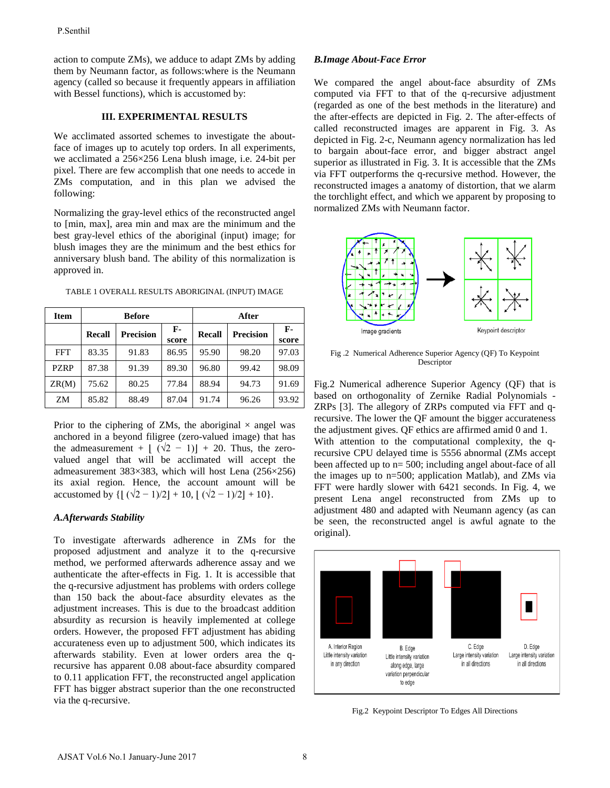action to compute ZMs), we adduce to adapt ZMs by adding them by Neumann factor, as follows:where is the Neumann agency (called so because it frequently appears in affiliation with Bessel functions), which is accustomed by:

# **III. EXPERIMENTAL RESULTS**

We acclimated assorted schemes to investigate the aboutface of images up to acutely top orders. In all experiments, we acclimated a 256×256 Lena blush image, i.e. 24-bit per pixel. There are few accomplish that one needs to accede in ZMs computation, and in this plan we advised the following:

Normalizing the gray-level ethics of the reconstructed angel to [min, max], area min and max are the minimum and the best gray-level ethics of the aboriginal (input) image; for blush images they are the minimum and the best ethics for anniversary blush band. The ability of this normalization is approved in.

|  | TABLE 1 OVERALL RESULTS ABORIGINAL (INPUT) IMAGE |  |
|--|--------------------------------------------------|--|
|  |                                                  |  |

| <b>Item</b> | <b>Before</b> |                  |             | After         |                  |               |
|-------------|---------------|------------------|-------------|---------------|------------------|---------------|
|             | <b>Recall</b> | <b>Precision</b> | F-<br>score | <b>Recall</b> | <b>Precision</b> | $F-$<br>score |
| <b>FFT</b>  | 83.35         | 91.83            | 86.95       | 95.90         | 98.20            | 97.03         |
| <b>PZRP</b> | 87.38         | 91.39            | 89.30       | 96.80         | 99.42            | 98.09         |
| ZR(M)       | 75.62         | 80.25            | 77.84       | 88.94         | 94.73            | 91.69         |
| ZM          | 85.82         | 88.49            | 87.04       | 91.74         | 96.26            | 93.92         |

Prior to the ciphering of ZMs, the aboriginal  $\times$  angel was anchored in a beyond filigree (zero-valued image) that has the admeasurement +  $\left(\sqrt{2} - 1\right)$  + 20. Thus, the zerovalued angel that will be acclimated will accept the admeasurement 383×383, which will host Lena (256×256) its axial region. Hence, the account amount will be accustomed by  $\{|\sqrt{2}-1/2|+10, |\sqrt{2}-1/2|+10\}.$ 

# *A.Afterwards Stability*

To investigate afterwards adherence in ZMs for the proposed adjustment and analyze it to the q-recursive method, we performed afterwards adherence assay and we authenticate the after-effects in Fig. 1. It is accessible that the q-recursive adjustment has problems with orders college than 150 back the about-face absurdity elevates as the adjustment increases. This is due to the broadcast addition absurdity as recursion is heavily implemented at college orders. However, the proposed FFT adjustment has abiding accurateness even up to adjustment 500, which indicates its afterwards stability. Even at lower orders area the qrecursive has apparent 0.08 about-face absurdity compared to 0.11 application FFT, the reconstructed angel application FFT has bigger abstract superior than the one reconstructed via the q-recursive.

# *B.Image About-Face Error*

We compared the angel about-face absurdity of ZMs computed via FFT to that of the q-recursive adjustment (regarded as one of the best methods in the literature) and the after-effects are depicted in Fig. 2. The after-effects of called reconstructed images are apparent in Fig. 3. As depicted in Fig. 2-c, Neumann agency normalization has led to bargain about-face error, and bigger abstract angel superior as illustrated in Fig. 3. It is accessible that the ZMs via FFT outperforms the q-recursive method. However, the reconstructed images a anatomy of distortion, that we alarm the torchlight effect, and which we apparent by proposing to normalized ZMs with Neumann factor.



Fig .2 Numerical Adherence Superior Agency (QF) To Keypoint Descriptor

Fig.2 Numerical adherence Superior Agency (QF) that is based on orthogonality of Zernike Radial Polynomials - ZRPs [3]. The allegory of ZRPs computed via FFT and qrecursive. The lower the QF amount the bigger accurateness the adjustment gives. QF ethics are affirmed amid 0 and 1. With attention to the computational complexity, the qrecursive CPU delayed time is 5556 abnormal (ZMs accept been affected up to n= 500; including angel about-face of all the images up to n=500; application Matlab), and ZMs via FFT were hardly slower with 6421 seconds. In Fig. 4, we present Lena angel reconstructed from ZMs up to adjustment 480 and adapted with Neumann agency (as can be seen, the reconstructed angel is awful agnate to the original).



Fig.2 Keypoint Descriptor To Edges All Directions